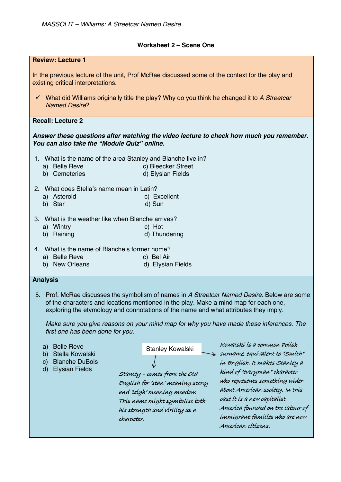## **Worksheet 2 – Scene One**

| <b>Review: Lecture 1</b>                                                                                                                                                                                                                                                                                                                                                                                   |                                                                                                                                                                                        |                                                                                                                                                                                                                                                                                                                                 |
|------------------------------------------------------------------------------------------------------------------------------------------------------------------------------------------------------------------------------------------------------------------------------------------------------------------------------------------------------------------------------------------------------------|----------------------------------------------------------------------------------------------------------------------------------------------------------------------------------------|---------------------------------------------------------------------------------------------------------------------------------------------------------------------------------------------------------------------------------------------------------------------------------------------------------------------------------|
| In the previous lecture of the unit, Prof McRae discussed some of the context for the play and<br>existing critical interpretations.                                                                                                                                                                                                                                                                       |                                                                                                                                                                                        |                                                                                                                                                                                                                                                                                                                                 |
| $\checkmark$ What did Williams originally title the play? Why do you think he changed it to A Streetcar<br><b>Named Desire?</b>                                                                                                                                                                                                                                                                            |                                                                                                                                                                                        |                                                                                                                                                                                                                                                                                                                                 |
| <b>Recall: Lecture 2</b>                                                                                                                                                                                                                                                                                                                                                                                   |                                                                                                                                                                                        |                                                                                                                                                                                                                                                                                                                                 |
| Answer these questions after watching the video lecture to check how much you remember.<br>You can also take the "Module Quiz" online.                                                                                                                                                                                                                                                                     |                                                                                                                                                                                        |                                                                                                                                                                                                                                                                                                                                 |
| 1. What is the name of the area Stanley and Blanche live in?<br>a) Belle Reve<br>b) Cemeteries                                                                                                                                                                                                                                                                                                             | c) Bleecker Street<br>d) Elysian Fields                                                                                                                                                |                                                                                                                                                                                                                                                                                                                                 |
| 2. What does Stella's name mean in Latin?<br>a) Asteroid<br>b) Star                                                                                                                                                                                                                                                                                                                                        | c) Excellent<br>d) Sun                                                                                                                                                                 |                                                                                                                                                                                                                                                                                                                                 |
| 3. What is the weather like when Blanche arrives?<br>a) Wintry<br>b) Raining                                                                                                                                                                                                                                                                                                                               | c) Hot<br>d) Thundering                                                                                                                                                                |                                                                                                                                                                                                                                                                                                                                 |
| 4. What is the name of Blanche's former home?<br>a) Belle Reve<br>b) New Orleans                                                                                                                                                                                                                                                                                                                           | c) Bel Air<br>d) Elysian Fields                                                                                                                                                        |                                                                                                                                                                                                                                                                                                                                 |
| <b>Analysis</b>                                                                                                                                                                                                                                                                                                                                                                                            |                                                                                                                                                                                        |                                                                                                                                                                                                                                                                                                                                 |
| 5. Prof. McRae discusses the symbolism of names in A Streetcar Named Desire. Below are some<br>of the characters and locations mentioned in the play. Make a mind map for each one,<br>exploring the etymology and connotations of the name and what attributes they imply.<br>Make sure you give reasons on your mind map for why you have made these inferences. The<br>first one has been done for you. |                                                                                                                                                                                        |                                                                                                                                                                                                                                                                                                                                 |
| <b>Belle Reve</b><br>a)<br>Stella Kowalski<br>b)<br><b>Blanche DuBois</b><br>$\mathsf{C}$<br><b>Elysian Fields</b><br>$\mathsf{d}$<br>character.                                                                                                                                                                                                                                                           | Stanley Kowalski<br>Stanley - comes from the Old<br>English for 'stan' meaning stony<br>and leigh' meaning meadow.<br>Thís name míght symbolíse both<br>hís strength and vírílíty as a | Kowalskí ís a common Polísh<br>surname, equivalent to "Smith"<br>ín Englísh. It makes Stanley a<br>kind of "everyman" character<br>who represents something wider<br>about American society. In this<br>case it is a new capitalist<br>Ameríca founded on the labour of<br>immigrant families who are now<br>Amerícan cítízens. |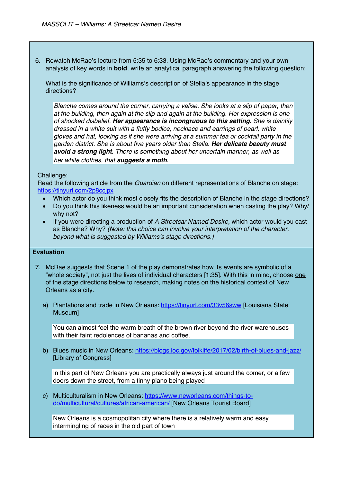6. Rewatch McRae's lecture from 5:35 to 6:33. Using McRae's commentary and your own analysis of key words in **bold**, write an analytical paragraph answering the following question:

What is the significance of Williams's description of Stella's appearance in the stage directions?

*Blanche comes around the corner, carrying a valise. She looks at a slip of paper, then at the building, then again at the slip and again at the building. Her expression is one of shocked disbelief. Her appearance is incongruous to this setting. She is daintily dressed in a white suit with a fluffy bodice, necklace and earrings of pearl, white gloves and hat, looking as if she were arriving at a summer tea or cocktail party in the garden district. She is about five years older than Stella. Her delicate beauty must avoid a strong light. There is something about her uncertain manner, as well as her white clothes, that suggests a moth.*

## Challenge:

Read the following article from the *Guardian* on different representations of Blanche on stage: https://tinyurl.com/2p8ccjpx

- Which actor do you think most closely fits the description of Blanche in the stage directions?
- Do you think this likeness would be an important consideration when casting the play? Why/ why not?
- If you were directing a production of *A Streetcar Named Desire,* which actor would you cast as Blanche? Why? *(Note: this choice can involve your interpretation of the character, beyond what is suggested by Williams's stage directions.)*

## **Evaluation**

- 7. McRae suggests that Scene 1 of the play demonstrates how its events are symbolic of a "whole society", not just the lives of individual characters [1:35]. With this in mind, choose one of the stage directions below to research, making notes on the historical context of New Orleans as a city.
	- a) Plantations and trade in New Orleans: https://tinyurl.com/33v56sww [Louisiana State Museum]

You can almost feel the warm breath of the brown river beyond the river warehouses with their faint redolences of bananas and coffee.

b) Blues music in New Orleans: https://blogs.loc.gov/folklife/2017/02/birth-of-blues-and-jazz/ [Library of Congress]

In this part of New Orleans you are practically always just around the comer, or a few doors down the street, from a tinny piano being played

c) Multiculturalism in New Orleans: https://www.neworleans.com/things-todo/multicultural/cultures/african-american/ [New Orleans Tourist Board]

New Orleans is a cosmopolitan city where there is a relatively warm and easy intermingling of races in the old part of town